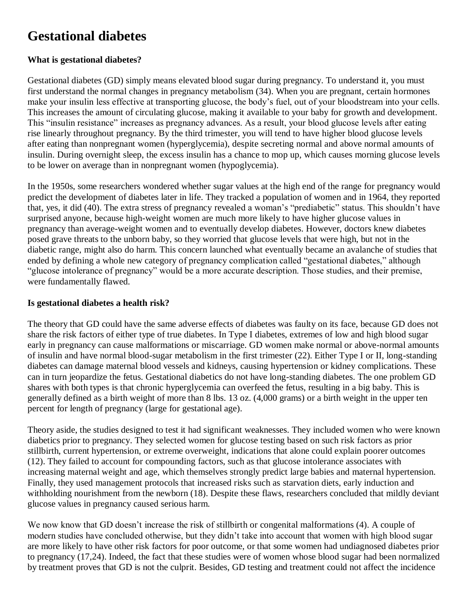# **Gestational diabetes**

# **What is gestational diabetes?**

Gestational diabetes (GD) simply means elevated blood sugar during pregnancy. To understand it, you must first understand the normal changes in pregnancy metabolism (34). When you are pregnant, certain hormones make your insulin less effective at transporting glucose, the body's fuel, out of your bloodstream into your cells. This increases the amount of circulating glucose, making it available to your baby for growth and development. This "insulin resistance" increases as pregnancy advances. As a result, your blood glucose levels after eating rise linearly throughout pregnancy. By the third trimester, you will tend to have higher blood glucose levels after eating than nonpregnant women (hyperglycemia), despite secreting normal and above normal amounts of insulin. During overnight sleep, the excess insulin has a chance to mop up, which causes morning glucose levels to be lower on average than in nonpregnant women (hypoglycemia).

In the 1950s, some researchers wondered whether sugar values at the high end of the range for pregnancy would predict the development of diabetes later in life. They tracked a population of women and in 1964, they reported that, yes, it did (40). The extra stress of pregnancy revealed a woman's "prediabetic" status. This shouldn't have surprised anyone, because high-weight women are much more likely to have higher glucose values in pregnancy than average-weight women and to eventually develop diabetes. However, doctors knew diabetes posed grave threats to the unborn baby, so they worried that glucose levels that were high, but not in the diabetic range, might also do harm. This concern launched what eventually became an avalanche of studies that ended by defining a whole new category of pregnancy complication called "gestational diabetes," although "glucose intolerance of pregnancy" would be a more accurate description. Those studies, and their premise, were fundamentally flawed.

### **Is gestational diabetes a health risk?**

The theory that GD could have the same adverse effects of diabetes was faulty on its face, because GD does not share the risk factors of either type of true diabetes. In Type I diabetes, extremes of low and high blood sugar early in pregnancy can cause malformations or miscarriage. GD women make normal or above-normal amounts of insulin and have normal blood-sugar metabolism in the first trimester (22). Either Type I or II, long-standing diabetes can damage maternal blood vessels and kidneys, causing hypertension or kidney complications. These can in turn jeopardize the fetus. Gestational diabetics do not have long-standing diabetes. The one problem GD shares with both types is that chronic hyperglycemia can overfeed the fetus, resulting in a big baby. This is generally defined as a birth weight of more than 8 lbs. 13 oz. (4,000 grams) or a birth weight in the upper ten percent for length of pregnancy (large for gestational age).

Theory aside, the studies designed to test it had significant weaknesses. They included women who were known diabetics prior to pregnancy. They selected women for glucose testing based on such risk factors as prior stillbirth, current hypertension, or extreme overweight, indications that alone could explain poorer outcomes (12). They failed to account for compounding factors, such as that glucose intolerance associates with increasing maternal weight and age, which themselves strongly predict large babies and maternal hypertension. Finally, they used management protocols that increased risks such as starvation diets, early induction and withholding nourishment from the newborn (18). Despite these flaws, researchers concluded that mildly deviant glucose values in pregnancy caused serious harm.

We now know that GD doesn't increase the risk of stillbirth or congenital malformations (4). A couple of modern studies have concluded otherwise, but they didn't take into account that women with high blood sugar are more likely to have other risk factors for poor outcome, or that some women had undiagnosed diabetes prior to pregnancy (17,24). Indeed, the fact that these studies were of women whose blood sugar had been normalized by treatment proves that GD is not the culprit. Besides, GD testing and treatment could not affect the incidence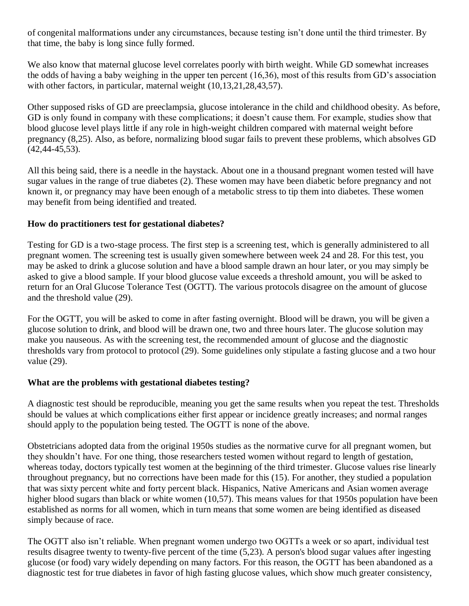of congenital malformations under any circumstances, because testing isn't done until the third trimester. By that time, the baby is long since fully formed.

We also know that maternal glucose level correlates poorly with birth weight. While GD somewhat increases the odds of having a baby weighing in the upper ten percent (16,36), most of this results from GD's association with other factors, in particular, maternal weight (10,13,21,28,43,57).

Other supposed risks of GD are preeclampsia, glucose intolerance in the child and childhood obesity. As before, GD is only found in company with these complications; it doesn't cause them. For example, studies show that blood glucose level plays little if any role in high-weight children compared with maternal weight before pregnancy (8,25). Also, as before, normalizing blood sugar fails to prevent these problems, which absolves GD (42,44-45,53).

All this being said, there is a needle in the haystack. About one in a thousand pregnant women tested will have sugar values in the range of true diabetes (2). These women may have been diabetic before pregnancy and not known it, or pregnancy may have been enough of a metabolic stress to tip them into diabetes. These women may benefit from being identified and treated.

# **How do practitioners test for gestational diabetes?**

Testing for GD is a two-stage process. The first step is a screening test, which is generally administered to all pregnant women. The screening test is usually given somewhere between week 24 and 28. For this test, you may be asked to drink a glucose solution and have a blood sample drawn an hour later, or you may simply be asked to give a blood sample. If your blood glucose value exceeds a threshold amount, you will be asked to return for an Oral Glucose Tolerance Test (OGTT). The various protocols disagree on the amount of glucose and the threshold value (29).

For the OGTT, you will be asked to come in after fasting overnight. Blood will be drawn, you will be given a glucose solution to drink, and blood will be drawn one, two and three hours later. The glucose solution may make you nauseous. As with the screening test, the recommended amount of glucose and the diagnostic thresholds vary from protocol to protocol (29). Some guidelines only stipulate a fasting glucose and a two hour value (29).

#### **What are the problems with gestational diabetes testing?**

A diagnostic test should be reproducible, meaning you get the same results when you repeat the test. Thresholds should be values at which complications either first appear or incidence greatly increases; and normal ranges should apply to the population being tested. The OGTT is none of the above.

Obstetricians adopted data from the original 1950s studies as the normative curve for all pregnant women, but they shouldn't have. For one thing, those researchers tested women without regard to length of gestation, whereas today, doctors typically test women at the beginning of the third trimester. Glucose values rise linearly throughout pregnancy, but no corrections have been made for this (15). For another, they studied a population that was sixty percent white and forty percent black. Hispanics, Native Americans and Asian women average higher blood sugars than black or white women (10,57). This means values for that 1950s population have been established as norms for all women, which in turn means that some women are being identified as diseased simply because of race.

The OGTT also isn't reliable. When pregnant women undergo two OGTTs a week or so apart, individual test results disagree twenty to twenty-five percent of the time (5,23). A person's blood sugar values after ingesting glucose (or food) vary widely depending on many factors. For this reason, the OGTT has been abandoned as a diagnostic test for true diabetes in favor of high fasting glucose values, which show much greater consistency,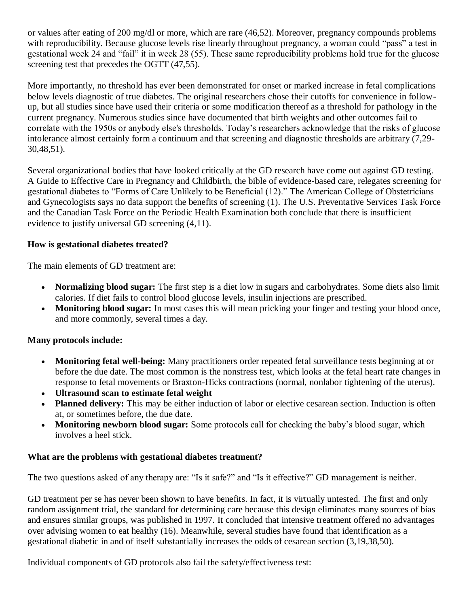or values after eating of 200 mg/dl or more, which are rare (46,52). Moreover, pregnancy compounds problems with reproducibility. Because glucose levels rise linearly throughout pregnancy, a woman could "pass" a test in gestational week 24 and "fail" it in week 28 (55). These same reproducibility problems hold true for the glucose screening test that precedes the OGTT  $(47,55)$ .

More importantly, no threshold has ever been demonstrated for onset or marked increase in fetal complications below levels diagnostic of true diabetes. The original researchers chose their cutoffs for convenience in followup, but all studies since have used their criteria or some modification thereof as a threshold for pathology in the current pregnancy. Numerous studies since have documented that birth weights and other outcomes fail to correlate with the 1950s or anybody else's thresholds. Today's researchers acknowledge that the risks of glucose intolerance almost certainly form a continuum and that screening and diagnostic thresholds are arbitrary (7,29- 30,48,51).

Several organizational bodies that have looked critically at the GD research have come out against GD testing. A Guide to Effective Care in Pregnancy and Childbirth, the bible of evidence-based care, relegates screening for gestational diabetes to "Forms of Care Unlikely to be Beneficial (12)." The American College of Obstetricians and Gynecologists says no data support the benefits of screening (1). The U.S. Preventative Services Task Force and the Canadian Task Force on the Periodic Health Examination both conclude that there is insufficient evidence to justify universal GD screening (4,11).

# **How is gestational diabetes treated?**

The main elements of GD treatment are:

- **Normalizing blood sugar:** The first step is a diet low in sugars and carbohydrates. Some diets also limit calories. If diet fails to control blood glucose levels, insulin injections are prescribed.
- **Monitoring blood sugar:** In most cases this will mean pricking your finger and testing your blood once, and more commonly, several times a day.

# **Many protocols include:**

- **Monitoring fetal well-being:** Many practitioners order repeated fetal surveillance tests beginning at or before the due date. The most common is the nonstress test, which looks at the fetal heart rate changes in response to fetal movements or Braxton-Hicks contractions (normal, nonlabor tightening of the uterus).
- **Ultrasound scan to estimate fetal weight**
- Planned delivery: This may be either induction of labor or elective cesarean section. Induction is often at, or sometimes before, the due date.
- **Monitoring newborn blood sugar:** Some protocols call for checking the baby's blood sugar, which involves a heel stick.

#### **What are the problems with gestational diabetes treatment?**

The two questions asked of any therapy are: "Is it safe?" and "Is it effective?" GD management is neither.

GD treatment per se has never been shown to have benefits. In fact, it is virtually untested. The first and only random assignment trial, the standard for determining care because this design eliminates many sources of bias and ensures similar groups, was published in 1997. It concluded that intensive treatment offered no advantages over advising women to eat healthy (16). Meanwhile, several studies have found that identification as a gestational diabetic in and of itself substantially increases the odds of cesarean section (3,19,38,50).

Individual components of GD protocols also fail the safety/effectiveness test: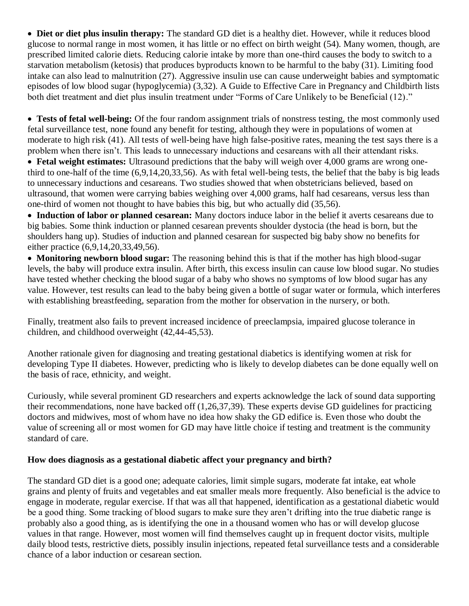**Diet or diet plus insulin therapy:** The standard GD diet is a healthy diet. However, while it reduces blood glucose to normal range in most women, it has little or no effect on birth weight (54). Many women, though, are prescribed limited calorie diets. Reducing calorie intake by more than one-third causes the body to switch to a starvation metabolism (ketosis) that produces byproducts known to be harmful to the baby (31). Limiting food intake can also lead to malnutrition (27). Aggressive insulin use can cause underweight babies and symptomatic episodes of low blood sugar (hypoglycemia) (3,32). A Guide to Effective Care in Pregnancy and Childbirth lists both diet treatment and diet plus insulin treatment under "Forms of Care Unlikely to be Beneficial (12)."

 **Tests of fetal well-being:** Of the four random assignment trials of nonstress testing, the most commonly used fetal surveillance test, none found any benefit for testing, although they were in populations of women at moderate to high risk (41). All tests of well-being have high false-positive rates, meaning the test says there is a problem when there isn't. This leads to unnecessary inductions and cesareans with all their attendant risks.

 **Fetal weight estimates:** Ultrasound predictions that the baby will weigh over 4,000 grams are wrong onethird to one-half of the time (6,9,14,20,33,56). As with fetal well-being tests, the belief that the baby is big leads to unnecessary inductions and cesareans. Two studies showed that when obstetricians believed, based on ultrasound, that women were carrying babies weighing over 4,000 grams, half had cesareans, versus less than one-third of women not thought to have babies this big, but who actually did (35,56).

 **Induction of labor or planned cesarean:** Many doctors induce labor in the belief it averts cesareans due to big babies. Some think induction or planned cesarean prevents shoulder dystocia (the head is born, but the shoulders hang up). Studies of induction and planned cesarean for suspected big baby show no benefits for either practice (6,9,14,20,33,49,56).

 **Monitoring newborn blood sugar:** The reasoning behind this is that if the mother has high blood-sugar levels, the baby will produce extra insulin. After birth, this excess insulin can cause low blood sugar. No studies have tested whether checking the blood sugar of a baby who shows no symptoms of low blood sugar has any value. However, test results can lead to the baby being given a bottle of sugar water or formula, which interferes with establishing breastfeeding, separation from the mother for observation in the nursery, or both.

Finally, treatment also fails to prevent increased incidence of preeclampsia, impaired glucose tolerance in children, and childhood overweight (42,44-45,53).

Another rationale given for diagnosing and treating gestational diabetics is identifying women at risk for developing Type II diabetes. However, predicting who is likely to develop diabetes can be done equally well on the basis of race, ethnicity, and weight.

Curiously, while several prominent GD researchers and experts acknowledge the lack of sound data supporting their recommendations, none have backed off (1,26,37,39). These experts devise GD guidelines for practicing doctors and midwives, most of whom have no idea how shaky the GD edifice is. Even those who doubt the value of screening all or most women for GD may have little choice if testing and treatment is the community standard of care.

#### **How does diagnosis as a gestational diabetic affect your pregnancy and birth?**

The standard GD diet is a good one; adequate calories, limit simple sugars, moderate fat intake, eat whole grains and plenty of fruits and vegetables and eat smaller meals more frequently. Also beneficial is the advice to engage in moderate, regular exercise. If that was all that happened, identification as a gestational diabetic would be a good thing. Some tracking of blood sugars to make sure they aren't drifting into the true diabetic range is probably also a good thing, as is identifying the one in a thousand women who has or will develop glucose values in that range. However, most women will find themselves caught up in frequent doctor visits, multiple daily blood tests, restrictive diets, possibly insulin injections, repeated fetal surveillance tests and a considerable chance of a labor induction or cesarean section.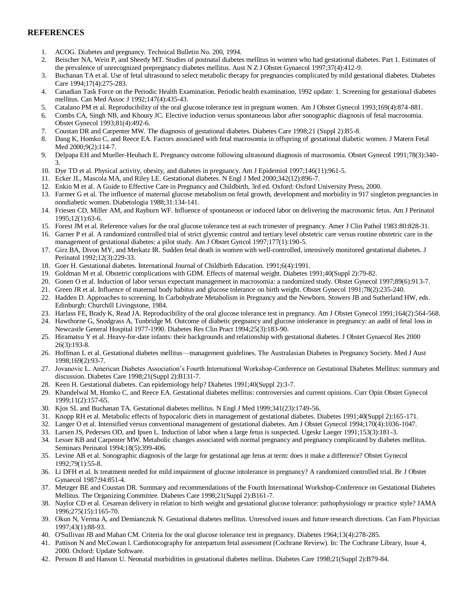#### **REFERENCES**

- 1. ACOG. Diabetes and pregnancy. Technical Bulletin No. 200, 1994.
- 2. Beischer NA, Wein P, and Sheedy MT. Studies of postnatal diabetes mellitus in women who had gestational diabetes. Part 1. Estimates of the prevalence of unrecognized prepregnancy diabetes mellitus. Aust N Z J Obstet Gynaecol 1997;37(4):412-9.
- 3. Buchanan TA et al. Use of fetal ultrasound to select metabolic therapy for pregnancies complicated by mild gestational diabetes. Diabetes Care 1994;17(4):275-283.
- 4. Canadian Task Force on the Periodic Health Examination. Periodic health examination, 1992 update: 1. Screening for gestational diabetes mellitus. Can Med Assoc J 1992;147(4):435-43.
- 5. Catalano PM et al. Reproducibility of the oral glucose tolerance test in pregnant women. Am J Obstet Gynecol 1993;169(4):874-881.
- 6. Combs CA, Singh NB, and Khoury JC. Elective induction versus spontaneous labor after sonographic diagnosis of fetal macrosomia. Obstet Gynecol 1993;81(4):492-6.
- 7. Coustan DR and Carpenter MW. The diagnosis of gestational diabetes. Diabetes Care 1998;21 (Suppl 2):B5-8.
- 8. Dang K, Homko C, and Reece EA. Factors associated with fetal macrosomia in offspring of gestational diabetic women. J Matern Fetal Med 2000;9(2):114-7.
- 9. Delpapa EH and Mueller-Heubach E. Pregnancy outcome following ultrasound diagnosis of macrosomia. Obstet Gynecol 1991;78(3):340- 3.
- 10. Dye TD et al. Physical activity, obesity, and diabetes in pregnancy. Am J Epidemiol 1997;146(11):961-5.
- 11. Ecker JL, Mascola MA, and Riley LE. Gestational diabetes. N Engl J Med 2000;342(12):896-7.
- 12. Enkin M et al. A Guide to Effective Care in Pregnancy and Childbirth, 3rd ed. Oxford: Oxford University Press, 2000.
- 13. Farmer G et al. The influence of maternal glucose metabolism on fetal growth, development and morbidity in 917 singleton pregnancies in nondiabetic women. Diabetologia 1988;31:134-141.
- 14. Friesen CD, Miller AM, and Rayburn WF. Influence of spontaneous or induced labor on delivering the macrosomic fetus. Am J Perinatol 1995;12(1):63-6.
- 15. Forest JM et al. Reference values for the oral glucose tolerance test at each trimester of pregnancy. Amer J Clin Pathol 1983:80:828-31.
- 16. Garner P et al. A randomized controlled trial of strict glycemic control and tertiary level obstetric care versus routine obstetric care in the management of gestational diabetes: a pilot study. Am J Obstet Gyncol 1997;177(1):190-5.
- 17. Girz BA, Divon MY, and Merkatz IR. Sudden fetal death in women with well-controlled, intensively monitored gestational diabetes. J Perinatol 1992;12(3):229-33.
- 18. Goer H. Gestational diabetes. International Journal of Childbirth Education. 1991;6(4):1991.
- 19. Goldman M et al. Obstetric complications with GDM. Effects of maternal weight. Diabetes 1991;40(Suppl 2):79-82.
- 20. Gonen O et al. Induction of labor versus expectant management in macrosomia: a randomized study. Obstet Gynecol 1997;89(6):913-7.
- 21. Green JR et al. Influence of maternal body habitus and glucose tolerance on birth weight. Obstet Gynecol 1991;78(2):235-240.
- 22. Hadden D. Approaches to screening. In Carbohydrate Metabolism in Pregnancy and the Newborn. Stowers JB and Sutherland HW, eds. Edinburgh: Churchill Livingstone, 1984.
- 23. Harlass FE, Brady K, Read JA. Reproducibility of the oral glucose tolerance test in pregnancy. Am J Obstet Gynecol 1991;164(2):564-568.
- 24. Hawthorne G, Snodgrass A, Tunbridge M. Outcome of diabetic pregnancy and glucose intolerance in pregnancy: an audit of fetal loss in Newcastle General Hospital 1977-1990. Diabetes Res Clin Pract 1994;25(3):183-90.
- 25. Hiramatsu Y et al. Heavy-for-date infants: their backgrounds and relationship with gestational diabetes. J Obstet Gynaecol Res 2000 26(3):193-8.
- 26. Hoffman L et al. Gestational diabetes mellitus—management guidelines. The Australasian Diabetes in Pregnancy Society. Med J Aust 1998;169(2):93-7.
- 27. Jovanovic L. American Diabetes Association's Fourth International Workshop-Conference on Gestational Diabetes Mellitus: summary and discussion. Diabetes Care 1998;21(Suppl 2):B131-7.
- 28. Keen H. Gestational diabetes. Can epidemiology help? Diabetes 1991;40(Suppl 2):3-7.
- 29. Khandelwal M, Homko C, and Reece EA. Gestational diabetes mellitus: controversies and current opinions. Curr Opin Obstet Gynecol 1999;11(2):157-65.
- 30. Kjos SL and Buchanan TA. Gestational diabetes mellitus. N Engl J Med 1999;341(23):1749-56.
- 31. Knopp RH et al. Metabolic effects of hypocaloric diets in management of gestational diabetes. Diabetes 1991;40(Suppl 2):165-171.
- 32. Langer O et al. Intensified versus conventional management of gestational diabetes. Am J Obstet Gynecol 1994;170(4):1036-1047.
- 33. Larsen JS, Pedersen OD, and Ipsen L. Induction of labor when a large fetus is suspected. Ugeskr Laeger 1991;153(3):181-3.
- 34. Lesser KB and Carpenter MW. Metabolic changes associated with normal pregnancy and pregnancy complicated by diabetes mellitus. Seminars Perinatol 1994;18(5):399-406.
- 35. Levine AB et al. Sonographic diagnosis of the large for gestational age fetus at term: does it make a difference? Obstet Gynecol 1992;79(1):55-8.
- 36. Li DFH et al. Is treatment needed for mild impairment of glucose intolerance in pregnancy? A randomized controlled trial. Br J Obstet Gynaecol 1987;94:851-4.
- 37. Metzger BE and Coustan DR. Summary and recommendations of the Fourth International Workshop-Conference on Gestational Diabetes Mellitus. The Organizing Committee. Diabetes Care 1998;21(Suppl 2):B161-7.
- 38. Naylor CD et al. Cesarean delivery in relation to birth weight and gestational glucose tolerance: pathophysiology or practice style? JAMA 1996;275(15):1165-70.
- 39. Okun N, Verma A, and Demianczuk N. Gestational diabetes mellitus. Unresolved issues and future research directions. Can Fam Physician 1997;43(1):88-93.
- 40. O'Sullivan JB and Mahan CM. Criteria for the oral glucose tolerance test in pregnancy. Diabetes 1964;13(4):278-285.
- 41. Pattison N and McCowan l. Cardiotocography for antepartum fetal assessment (Cochrane Review). In: The Cochrane Library, Issue 4, 2000. Oxford: Update Software.
- 42. Persson B and Hanson U. Neonatal morbidities in gestational diabetes mellitus. Diabetes Care 1998;21(Suppl 2):B79-84.